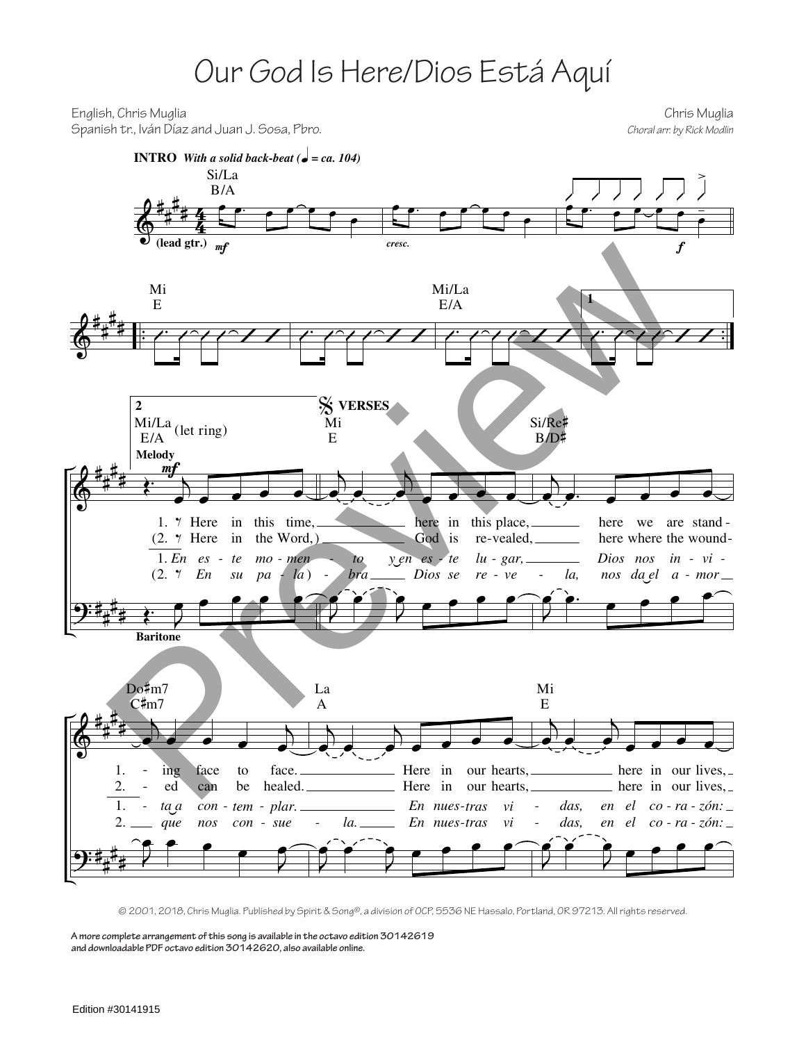## Our God Is Here/Dios Está Aquí

English, Chris Muglia Chris Muglia Spanish tr., Iván Díaz and Juan J. Sosa, Pbro. *Choral arr. by Rick Modlin*



© 2001, 2018, Chris Muglia. Published by Spirit & Song®, a division of OCP, 5536 NE Hassalo, Portland, OR 97213. All rights reserved.

**A more complete arrangement of this song is available in the octavo edition 30142619 and downloadable PDF octavo edition 30142620, also available online.**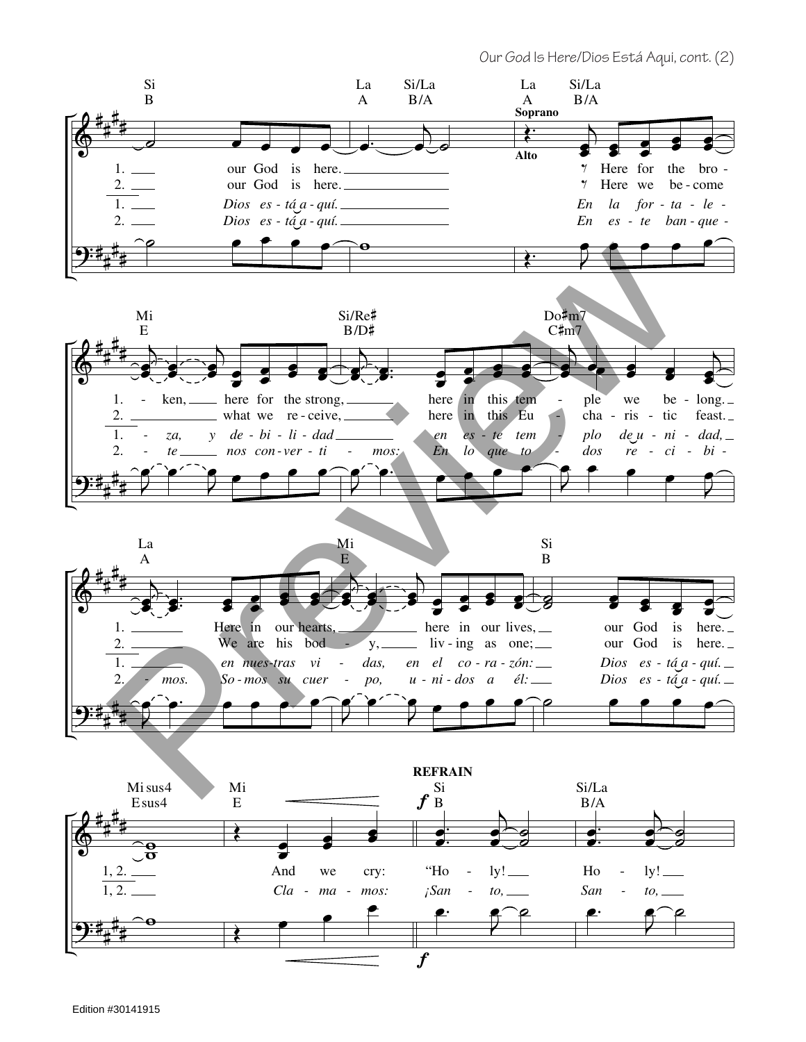Our God Is Here/Dios Está Aqui, cont. (2)

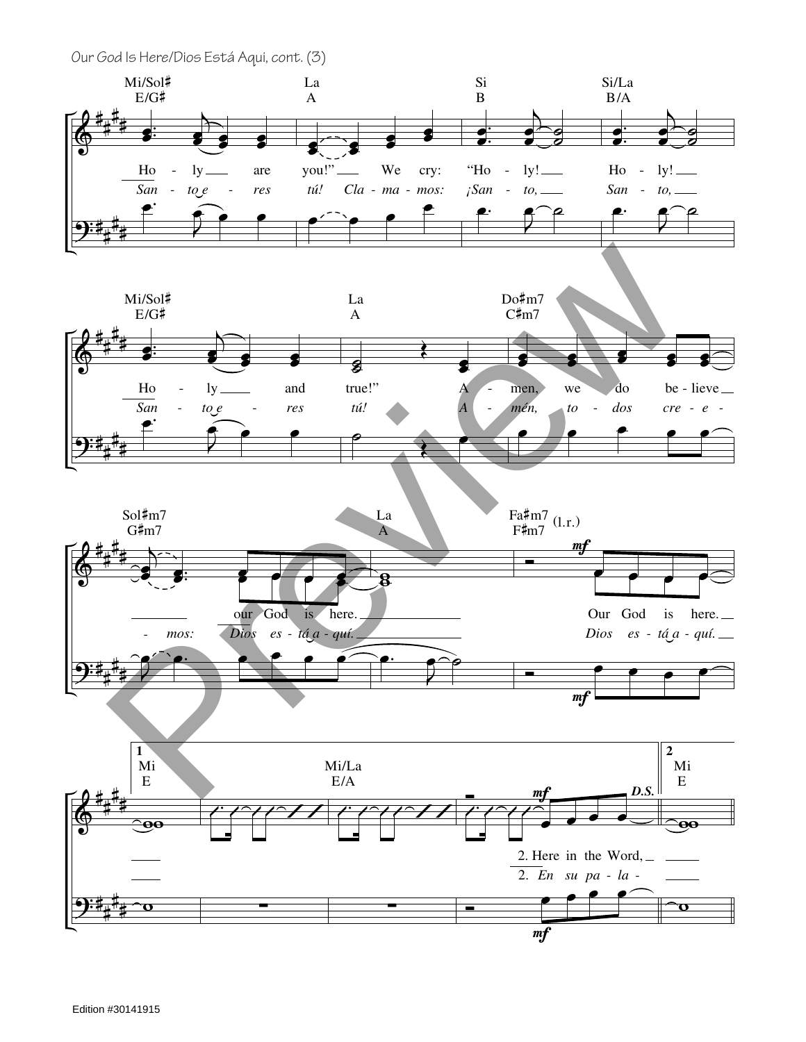Our God Is Here/Dios Está Aqui, cont. (3)

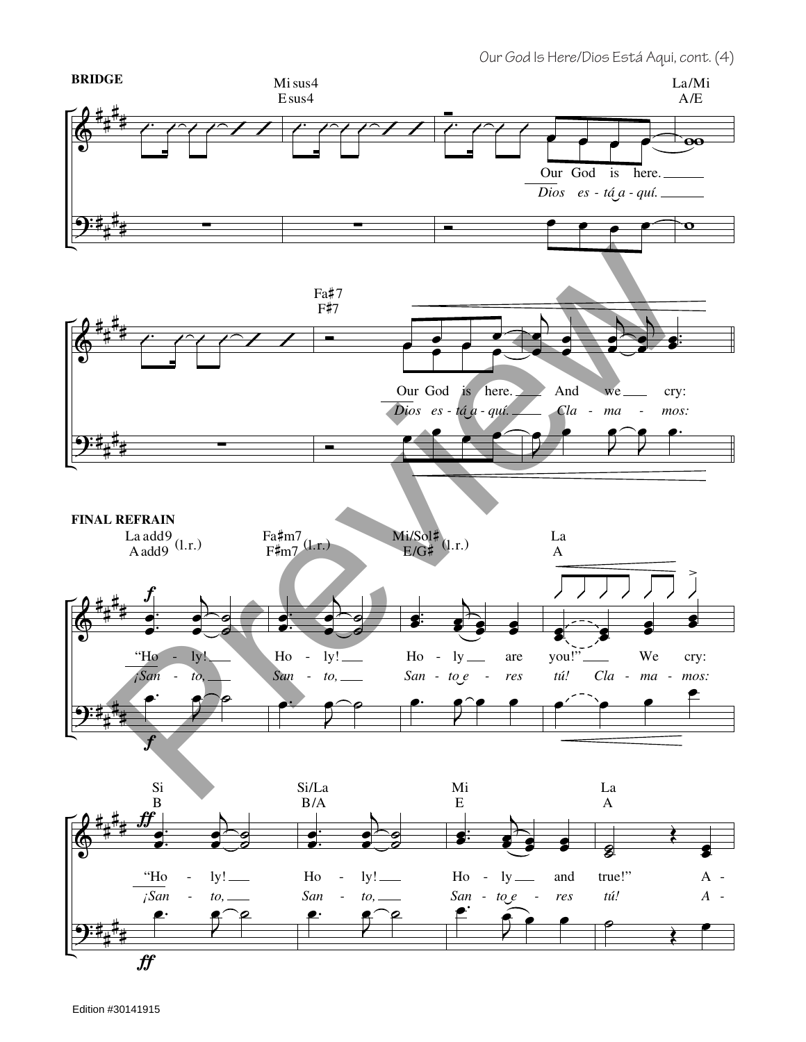